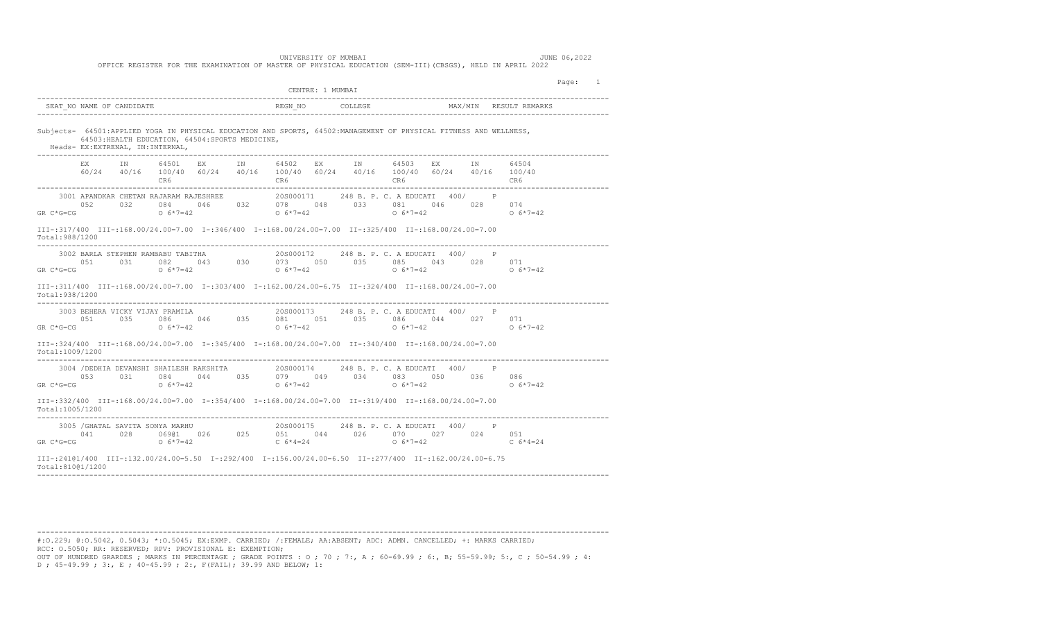## UNIVERSITY OF MUMBAI **Algebra** 1999 **JUNE 06,2022**

OFFICE REGISTER FOR THE EXAMINATION OF MASTER OF PHYSICAL EDUCATION (SEM-III)(CBSGS), HELD IN APRIL 2022

|                                                                                                                                                                                                                                                                                                                                       |                              | CENTRE: 1 MUMBAI                                                                                                                                                                                                         | Page: 1    |
|---------------------------------------------------------------------------------------------------------------------------------------------------------------------------------------------------------------------------------------------------------------------------------------------------------------------------------------|------------------------------|--------------------------------------------------------------------------------------------------------------------------------------------------------------------------------------------------------------------------|------------|
| SEAT NO NAME OF CANDIDATE                                                                                                                                                                                                                                                                                                             |                              |                                                                                                                                                                                                                          |            |
| Subjects- 64501:APPLIED YOGA IN PHYSICAL EDUCATION AND SPORTS, 64502:MANAGEMENT OF PHYSICAL FITNESS AND WELLNESS,<br>64503: HEALTH EDUCATION, 64504: SPORTS MEDICINE,<br>Heads- EX:EXTRENAL, IN:INTERNAL,                                                                                                                             |                              |                                                                                                                                                                                                                          |            |
|                                                                                                                                                                                                                                                                                                                                       | CR6 <sup>c</sup>             | EX IN 64501 EX IN 64502 EX IN 64503 EX IN 64504<br>$60/24 \qquad 40/16 \qquad 100/40 \qquad 60/24 \qquad 40/16 \qquad 100/40 \qquad 60/24 \qquad 40/16 \qquad 100/40 \qquad 60/24 \qquad 40/16 \qquad 100/40$<br>CR6 CR6 | CR6        |
| $\begin{array}{cccccccc} 3001 & \text{APANDKAR CHETAN RAJARAM RAJBSHREE} & & 20 \text{S000171} & 248 \text{ B. P. C. A EDUCATT} & 400 / & \text{P} \\ 052 & 032 & 084 & 046 & 032 & 078 & 048 & 033 & 081 & 046 & 028 & 074 \\ \text{GR C*G=CG} & & 0 & 6*7=42 & & 0 & 6*7=42 & & 0 & 6*7=42 \end{array}$                             |                              |                                                                                                                                                                                                                          |            |
| III-:317/400 III-:168.00/24.00=7.00 I-:346/400 I-:168.00/24.00=7.00 II-:325/400 II-:168.00/24.00=7.00<br>Total:988/1200                                                                                                                                                                                                               |                              |                                                                                                                                                                                                                          |            |
| 3002 BARLA STEPHEN RAMBABU TABITHA<br>$1.632$<br>$1.632$<br>$1.632$<br>$1.632$<br>$1.632$<br>$1.632$<br>$1.632$<br>$1.632$<br>$1.632$<br>$1.632$<br>$1.632$<br>$1.632$<br>$1.632$<br>$1.632$<br>$1.632$<br>$1.632$<br>$1.632$<br>$1.632$<br>$1.632$<br>$1.632$<br>$1.632$<br>$1.632$<br>$1.632$<br>$1.632$<br>$1.63$<br>$GR$ $C*G=CG$ |                              | 20S000172 248 B. P. C. A EDUCATI 400/ P                                                                                                                                                                                  | $0.6*7=42$ |
| 00. 00-7.00 11108. 80/24. 00-7.00 10-303/400 10-162. 00/24. 00-6. 75 110-324/400 110-168. 00/24. 00-7<br>Total:938/1200                                                                                                                                                                                                               |                              |                                                                                                                                                                                                                          |            |
| $GR C*G=CG$                                                                                                                                                                                                                                                                                                                           |                              |                                                                                                                                                                                                                          | $0.6*7=42$ |
| 00.7-00 110-1324/400 111-168.00/24.00=7.00 1-:345/400 1-:168.00/24.00=7.00 11-:340/400 11-:168.00/24.00=7.00<br>Total:1009/1200                                                                                                                                                                                                       |                              |                                                                                                                                                                                                                          |            |
| $\begin{array}{cccccccccccc} 3004 & / {\tt DEDHIA} & {\tt DEVANSHI} & {\tt SHAILESH RAKSHITA} & 205000174 & 248 B. P. C. & {\tt A EDUCATT} & 400 / & P \\ 053 & 031 & 084 & 044 & 035 & 079 & 049 & 034 & 083 & 050 & 036 & 086 \\ 06 & 0 & 6*7=42 & 0 & 6*7=42 & 0 & 6*7=42 & 0 & 6*7=42 \end{array}$                                |                              |                                                                                                                                                                                                                          |            |
| 00.7=00.110.86.00/24.00=7.00 10.7=100.800/24.00=7.00 10.04/400 1-:354/400 1-:354/400 10.00 10.00 115<br>Total:1005/1200                                                                                                                                                                                                               | ---------------------------- |                                                                                                                                                                                                                          |            |
| $\begin{array}{cccccccc} 3005 & / \text{GHATAL SAVITA SONYA MARHU} & 205000175 & 248 \text{ B. P. C. A EDUCATT} & 400 / & \text{P} \\ 041 & 028 & 069@1 & 026 & 025 & 051 & 044 & 026 & 070 & 027 & 024 & 051 \\ 068 & 06*7=42 & 06*7=42 & 06*4=24 & 06*4=24 & 06*7=42 & 06*7=42 \end{array}$                                         |                              |                                                                                                                                                                                                                          |            |
| III-:24101/400 III-:132.00/24.00=5.50 I-:292/400 I-:156.00/24.00=6.50 II-:277/400 II-:162.00/24.00=6.75<br>Total:81001/1200                                                                                                                                                                                                           |                              |                                                                                                                                                                                                                          |            |

------------------------------------------------------------------------------------------------------------------------------------ #:O.229; @:O.5042, 0.5043; \*:O.5045; EX:EXMP. CARRIED; /:FEMALE; AA:ABSENT; ADC: ADMN. CANCELLED; +: MARKS CARRIED; RCC: O.5050; RR: RESERVED; RPV: PROVISIONAL E: EXEMPTION; OUT OF HUNDRED GRARDES ; MARKS IN PERCENTAGE ; GRADE POINTS : O ; 70 ; 7:, A ; 60-69.99 ; 6:, B; 55-59.99; 5:, C ; 50-54.99 ; 4: D ; 45-49.99 ; 3:, E ; 40-45.99 ; 2:, F(FAIL); 39.99 AND BELOW; 1: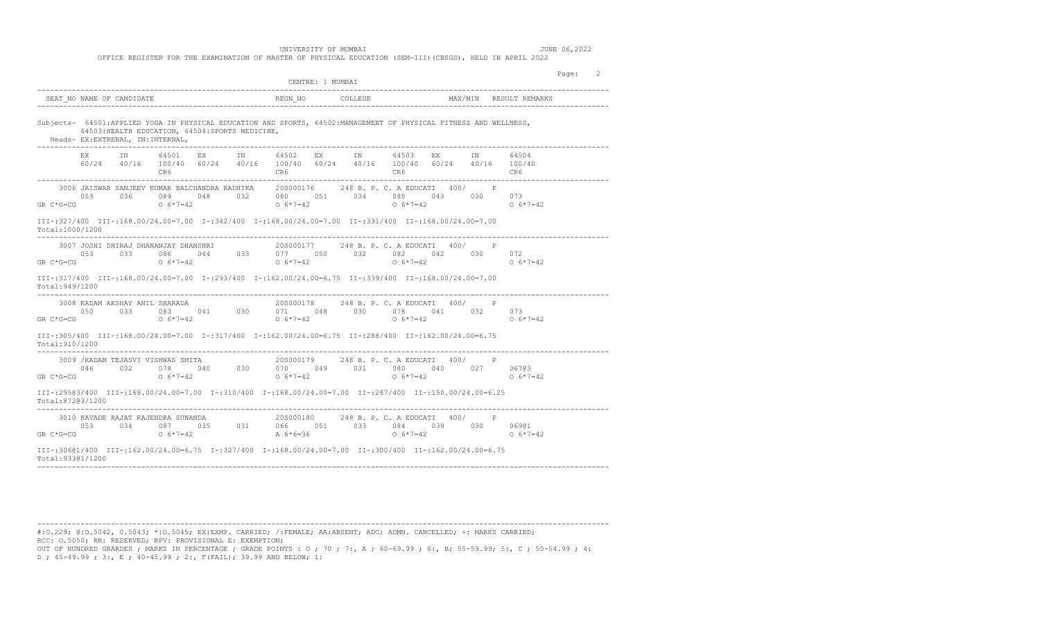|                                                                                                                                                                                                                                                                                                                                                                                                                                                                                                                                                                                                                                                                                                                                                                                                                                                                                                                                                         | CENTRE: 1 MUMBAT                                                                                                                                 | 2<br>Page:               |
|---------------------------------------------------------------------------------------------------------------------------------------------------------------------------------------------------------------------------------------------------------------------------------------------------------------------------------------------------------------------------------------------------------------------------------------------------------------------------------------------------------------------------------------------------------------------------------------------------------------------------------------------------------------------------------------------------------------------------------------------------------------------------------------------------------------------------------------------------------------------------------------------------------------------------------------------------------|--------------------------------------------------------------------------------------------------------------------------------------------------|--------------------------|
| SEAT NO NAME OF CANDIDATE                                                                                                                                                                                                                                                                                                                                                                                                                                                                                                                                                                                                                                                                                                                                                                                                                                                                                                                               |                                                                                                                                                  | RESULT REMARKS           |
| Subjects- 64501:APPLIED YOGA IN PHYSICAL EDUCATION AND SPORTS, 64502:MANAGEMENT OF PHYSICAL FITNESS AND WELLNESS,<br>64503: HEALTH EDUCATION, 64504: SPORTS MEDICINE,<br>Heads- EX: EXTRENAL, IN: INTERNAL,                                                                                                                                                                                                                                                                                                                                                                                                                                                                                                                                                                                                                                                                                                                                             |                                                                                                                                                  |                          |
| CR6 <sup>c</sup>                                                                                                                                                                                                                                                                                                                                                                                                                                                                                                                                                                                                                                                                                                                                                                                                                                                                                                                                        | EX IN 64501 EX IN 64502 EX IN 64503 EX IN<br>$60/24$ $40/16$ $100/40$ $60/24$ $40/16$ $100/40$ $60/24$ $40/16$ $100/40$ $60/24$ $40/16$ $100/40$ | 64504<br>CR6             |
| 3006 JAISWAR SANJEEV KUMAR BALCHANDRA RADHIKA 20S000176 248 B. P. C. A EDUCATI 400/ P<br>053<br>$GR C*G=CG$                                                                                                                                                                                                                                                                                                                                                                                                                                                                                                                                                                                                                                                                                                                                                                                                                                             | 036 089 048 032 080 051 034 085 043 030 073<br>0 6*7=42 0 6*7=42 0 6*7=42                                                                        | $0.6*7=42$               |
| 00.7=00.81/900 111=:168.00/24.00=7.00 10.7342/400 1-:342/400 1-:168.00/24.00=7.00 11-:331/400 11-:168.00/24.00<br>Total:1000/1200                                                                                                                                                                                                                                                                                                                                                                                                                                                                                                                                                                                                                                                                                                                                                                                                                       |                                                                                                                                                  |                          |
| $\begin{array}{cccccccc} 3007 & JOSHI & DHIRAJ & DHANANJAY & DHANSHRI & & & 20 \, 8000177 & & 248 \, B. & P. & C. & A & EDUCATI & 400 \, / & P & & \\ & & 053 & 033 & 086 & 044 & 033 & 077 & 050 & 032 & 082 & 042 & 030 & 072 & \\ & & 0 & 6*7=42 & 0 & 6*7=42 & 0 & 6*7=42 & 0 & 6*7=42 & \\ \end{array}$<br>$GR C*G=CG$                                                                                                                                                                                                                                                                                                                                                                                                                                                                                                                                                                                                                             |                                                                                                                                                  | $0.6*7=42$               |
| 00.110=200.831/400 III-:168.00/24.00=7.00 I-:293/400 I-:162.00/24.00=6.75 II-:339/400 II-:168.00/24.00=7.00<br>Total:949/1200                                                                                                                                                                                                                                                                                                                                                                                                                                                                                                                                                                                                                                                                                                                                                                                                                           |                                                                                                                                                  |                          |
|                                                                                                                                                                                                                                                                                                                                                                                                                                                                                                                                                                                                                                                                                                                                                                                                                                                                                                                                                         |                                                                                                                                                  |                          |
|                                                                                                                                                                                                                                                                                                                                                                                                                                                                                                                                                                                                                                                                                                                                                                                                                                                                                                                                                         |                                                                                                                                                  |                          |
|                                                                                                                                                                                                                                                                                                                                                                                                                                                                                                                                                                                                                                                                                                                                                                                                                                                                                                                                                         |                                                                                                                                                  |                          |
| 3009 / KADAM TEJASVI VISHWAS SMITA<br>046 032 078 040 030 070 049 031 080 041 040 027 06703<br>3009 /KADAM TEJASVI VISHWAS SMITA<br>$06*7=42$                                                                                                                                                                                                                                                                                                                                                                                                                                                                                                                                                                                                                                                                                                                                                                                                           | $0.6*7=42$                                                                                                                                       | $0.6*7=42$<br>$0.6*7=42$ |
|                                                                                                                                                                                                                                                                                                                                                                                                                                                                                                                                                                                                                                                                                                                                                                                                                                                                                                                                                         |                                                                                                                                                  |                          |
| $\begin{array}{cccccccccccc} 3008 & \text{KADAM} & \text{AKSHAY} & \text{MHL} & \text{SHARADA} & & & 20 \text{S000178} & & 248 \text{ B. P. C.} & \text{A EDUCATT} & 400 / & & \text{P} & & & \\ & & 050 & & 033 & & 083 & & 041 & & 030 & & 071 & & 048 & & 030 & & 078 & & 041 & & 032 & & 073 \\ \text{GR C*G=CG} & & & 0 & 6*7=42 & & & 0 & 6*7=42 & & & 0 & $<br>75.0=0.1.112.00/24.00=1.112.00/24.00=2.00 1-:317/400 1-:162.00/24.00=6.75 11-:288/400 11-:162.00/24.00=6.75<br>Total: 910/1200<br>$GR C*G=CG$<br>III-:29503/400 III-:168.00/24.00=7.00 I-:310/400 I-:168.00/24.00=7.00 II-:267/400 II-:150.00/24.00=6.25<br>Total:87203/1200<br>$\begin{array}{cccccccccccc} & 3010 & \text{KAVADE RAJAT RAJENDRA} & 5010 & 0.34 & 0.34 & 0.34 & 0.34 & 0.34 & 0.34 & 0.34 & 0.34 & 0.34 & 0.34 & 0.34 & 0.34 & 0.34 & 0.34 & 0.34 & 0.34 & 0.34 & 0.34 & 0.34 & 0.34 & 0.34 & 0.34 & 0.34 & 0.34 & 0.34 & 0.34 & 0.34 & 0.34 & 0.34 & 0.34 & 0.$ |                                                                                                                                                  | $0.6*7=42$               |

#:O.229; @:O.5042, 0.5043; \*:O.5045; EX:EXMP. CARRIED; /:FEMALE; AA:ABSENT; ADC: ADMN. CANCELLED; +: MARKS CARRIED; RCC: O.5050; RR: RESERVED; RPV: PROVISIONAL E: EXEMPTION; OUT OF HUNDRED GRARDES ; MARKS IN PERCENTAGE ; GRADE POINTS : O ; 70 ; 7:, A ; 60-69.99 ; 6:, B; 55-59.99; 5:, C ; 50-54.99 ; 4:

------------------------------------------------------------------------------------------------------------------------------------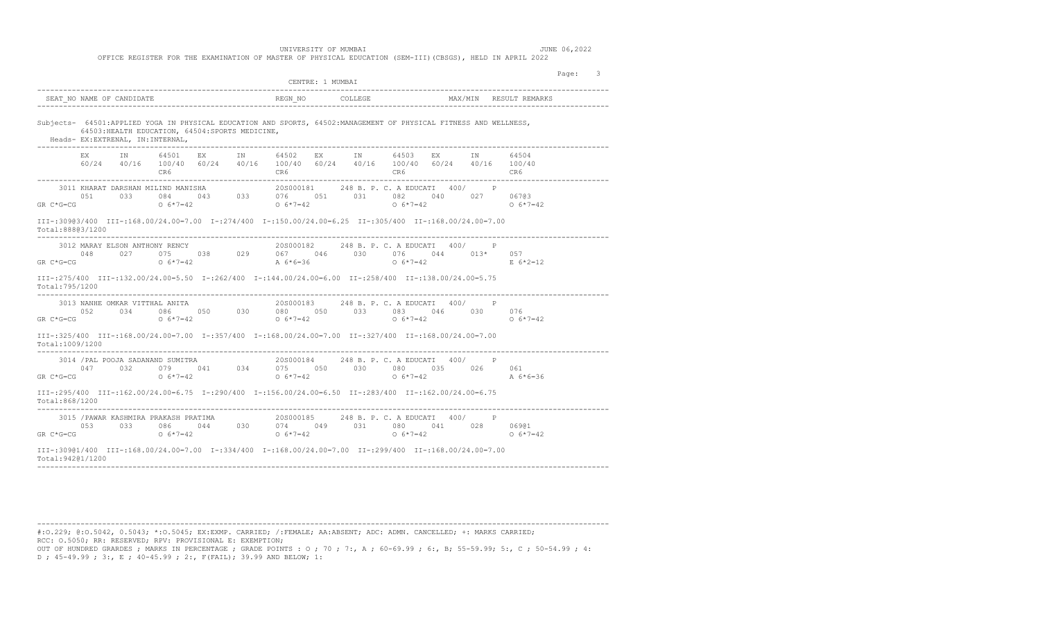|                                                                                                                                                                                                                                                                                                                                                                                                                                                                                                                                                                                                                                                                                                                                                                                                                                                                                                                                                                                                                                                                                                                                                                                                                                                                                                                                                                                                                                                                                                                                                                                                                                                                                                                                                                                                                                                                                                                                                                                                                                                                                                                                                                                                                                                                                                                                                                                                                                                                                                                                                                                                                                                                                                                                                                                                                                                   | CENTRE: 1 MUMBAT |  |
|---------------------------------------------------------------------------------------------------------------------------------------------------------------------------------------------------------------------------------------------------------------------------------------------------------------------------------------------------------------------------------------------------------------------------------------------------------------------------------------------------------------------------------------------------------------------------------------------------------------------------------------------------------------------------------------------------------------------------------------------------------------------------------------------------------------------------------------------------------------------------------------------------------------------------------------------------------------------------------------------------------------------------------------------------------------------------------------------------------------------------------------------------------------------------------------------------------------------------------------------------------------------------------------------------------------------------------------------------------------------------------------------------------------------------------------------------------------------------------------------------------------------------------------------------------------------------------------------------------------------------------------------------------------------------------------------------------------------------------------------------------------------------------------------------------------------------------------------------------------------------------------------------------------------------------------------------------------------------------------------------------------------------------------------------------------------------------------------------------------------------------------------------------------------------------------------------------------------------------------------------------------------------------------------------------------------------------------------------------------------------------------------------------------------------------------------------------------------------------------------------------------------------------------------------------------------------------------------------------------------------------------------------------------------------------------------------------------------------------------------------------------------------------------------------------------------------------------------------|------------------|--|
| Page:<br>-3<br>------------------------------------<br>MAX/MIN RESULT REMARKS<br>SEAT NO NAME OF CANDIDATE<br>Subjects- 64501:APPLIED YOGA IN PHYSICAL EDUCATION AND SPORTS, 64502:MANAGEMENT OF PHYSICAL FITNESS AND WELLNESS,<br>64503: HEALTH EDUCATION, 64504: SPORTS MEDICINE,<br>Heads- EX: EXTRENAL, IN: INTERNAL,<br>EX IN 64501 EX IN 64502 EX IN 64503 EX IN<br>64504<br>60/24 40/16 100/40 60/24 40/16 100/40 60/24 40/16 100/40 60/24 40/16 100/40<br>CR6 CR6<br>CR6 and the contract of the contract of the contract of the contract of the contract of the contract of the contract of the contract of the contract of the contract of the contract of the contract of the contract of the co<br>CR6<br>CR6<br>20S000181 248 B. P. C. A EDUCATI 400/ P<br>3011 KHARAT DARSHAN MILIND MANISHA<br>033 084 043 033 076 051 031 082 040 027 067@3<br>0.51<br>$0.6*7=42$ 0.6 $5*7=42$<br>$GR C*G=CG$<br>$0.6*7=42$<br>$0.6*7=42$<br>00.7=00/13/900.83/400 III=:168.00/24.00=7.00 I=:274/400 I=:150.00/24.00=6.25 II=:305/400 II=:168.00/24.00=7.00<br>Total:88803/1200<br>20S000182 248 B. P. C. A EDUCATI 400/ P<br>3012 MARAY ELSON ANTHONY RENCY<br>$0.048$<br>$0.048$<br>$0.027$<br>$0.057$<br>$0.057$<br>$0.057$<br>$0.057$<br>$0.057$<br>$0.057$<br>$0.057$<br>$0.057$<br>$0.057$<br>$0.057$<br>$0.057$<br>$0.057$<br>$0.057$<br>$0.057$<br>$0.057$<br>$0.057$<br>$0.057$<br>$0.057$<br>$0.057$<br>$0.057$<br>$0.057$<br>$0.05$<br>$GR C*G=CG$<br>$0 6*7=42$<br>$E \ 6*2=12$<br>III-:275/400 III-:132.00/24.00=5.50 I-:262/400 I-:144.00/24.00=6.00 II-:258/400 II-:138.00/24.00=5.75<br>Total: 795/1200<br>$\begin{array}{cccccccc} \text{3013 NAME OMKAR VITTHAL ANITA} & \text{20S000183} & \text{248 B. P. C. A EDUCATT} & \text{400} / & \text{P} \\ \text{052} & \text{034} & \text{086} & \text{050} & \text{030} & \text{080} & \text{050} & \text{033} & \text{083} & \text{046} & \text{030} & \text{076} \\ \text{GR C*G=CG} & \text{O & 6*7=42} & \text{O} & 6*7=42 & \text{O} & 6*7=$<br>TII-:325/400 III-:168.00/24.00=7.00 I-:357/400 I-:168.00/24.00=7.00 II-:327/400 II-:168.00/24.00=7.00<br>Total:1009/1200<br>20S000184 248 B. P. C. A EDUCATI 400/ P<br>3014 /PAL POOJA SADANAND SUMITRA<br>$047$ $032$ $079$ $041$ $034$ $075$ $050$ $030$ $080$ $035$ $026$ $061$<br>$GR C*G=CG$<br>$0.6*7=42$<br>$0.6 \times 7 = 42$<br>$0.6*7=42$<br>$A \quad 6*6=36$<br>III-:295/400 III-:162.00/24.00=6.75 I-:290/400 I-:156.00/24.00=6.50 II-:283/400 II-:162.00/24.00=6.75<br>Total:868/1200<br>$\begin{array}{cccccccc} 3015 \text{ /PAWAR KASHMIRA PRAKASH PRATIMA} & & & 20 \text{S000185} & 248 \text{ B. P. C. A EDUCATT} & 400 / & \text{P} \\ 053 & 033 & 086 & 044 & 030 & 074 & 049 & 031 & 080 & 041 & 028 & 069@1 \\ \text{GR C*G=CG} & & & 0 & 6*7=42 & 0 & 6*7=42 & 0 & 6*7=42 & 0 & 6*7=42 \end{array}$ |                  |  |
|                                                                                                                                                                                                                                                                                                                                                                                                                                                                                                                                                                                                                                                                                                                                                                                                                                                                                                                                                                                                                                                                                                                                                                                                                                                                                                                                                                                                                                                                                                                                                                                                                                                                                                                                                                                                                                                                                                                                                                                                                                                                                                                                                                                                                                                                                                                                                                                                                                                                                                                                                                                                                                                                                                                                                                                                                                                   |                  |  |
|                                                                                                                                                                                                                                                                                                                                                                                                                                                                                                                                                                                                                                                                                                                                                                                                                                                                                                                                                                                                                                                                                                                                                                                                                                                                                                                                                                                                                                                                                                                                                                                                                                                                                                                                                                                                                                                                                                                                                                                                                                                                                                                                                                                                                                                                                                                                                                                                                                                                                                                                                                                                                                                                                                                                                                                                                                                   |                  |  |
|                                                                                                                                                                                                                                                                                                                                                                                                                                                                                                                                                                                                                                                                                                                                                                                                                                                                                                                                                                                                                                                                                                                                                                                                                                                                                                                                                                                                                                                                                                                                                                                                                                                                                                                                                                                                                                                                                                                                                                                                                                                                                                                                                                                                                                                                                                                                                                                                                                                                                                                                                                                                                                                                                                                                                                                                                                                   |                  |  |
|                                                                                                                                                                                                                                                                                                                                                                                                                                                                                                                                                                                                                                                                                                                                                                                                                                                                                                                                                                                                                                                                                                                                                                                                                                                                                                                                                                                                                                                                                                                                                                                                                                                                                                                                                                                                                                                                                                                                                                                                                                                                                                                                                                                                                                                                                                                                                                                                                                                                                                                                                                                                                                                                                                                                                                                                                                                   |                  |  |
|                                                                                                                                                                                                                                                                                                                                                                                                                                                                                                                                                                                                                                                                                                                                                                                                                                                                                                                                                                                                                                                                                                                                                                                                                                                                                                                                                                                                                                                                                                                                                                                                                                                                                                                                                                                                                                                                                                                                                                                                                                                                                                                                                                                                                                                                                                                                                                                                                                                                                                                                                                                                                                                                                                                                                                                                                                                   |                  |  |
|                                                                                                                                                                                                                                                                                                                                                                                                                                                                                                                                                                                                                                                                                                                                                                                                                                                                                                                                                                                                                                                                                                                                                                                                                                                                                                                                                                                                                                                                                                                                                                                                                                                                                                                                                                                                                                                                                                                                                                                                                                                                                                                                                                                                                                                                                                                                                                                                                                                                                                                                                                                                                                                                                                                                                                                                                                                   |                  |  |
|                                                                                                                                                                                                                                                                                                                                                                                                                                                                                                                                                                                                                                                                                                                                                                                                                                                                                                                                                                                                                                                                                                                                                                                                                                                                                                                                                                                                                                                                                                                                                                                                                                                                                                                                                                                                                                                                                                                                                                                                                                                                                                                                                                                                                                                                                                                                                                                                                                                                                                                                                                                                                                                                                                                                                                                                                                                   |                  |  |
|                                                                                                                                                                                                                                                                                                                                                                                                                                                                                                                                                                                                                                                                                                                                                                                                                                                                                                                                                                                                                                                                                                                                                                                                                                                                                                                                                                                                                                                                                                                                                                                                                                                                                                                                                                                                                                                                                                                                                                                                                                                                                                                                                                                                                                                                                                                                                                                                                                                                                                                                                                                                                                                                                                                                                                                                                                                   |                  |  |
|                                                                                                                                                                                                                                                                                                                                                                                                                                                                                                                                                                                                                                                                                                                                                                                                                                                                                                                                                                                                                                                                                                                                                                                                                                                                                                                                                                                                                                                                                                                                                                                                                                                                                                                                                                                                                                                                                                                                                                                                                                                                                                                                                                                                                                                                                                                                                                                                                                                                                                                                                                                                                                                                                                                                                                                                                                                   |                  |  |
|                                                                                                                                                                                                                                                                                                                                                                                                                                                                                                                                                                                                                                                                                                                                                                                                                                                                                                                                                                                                                                                                                                                                                                                                                                                                                                                                                                                                                                                                                                                                                                                                                                                                                                                                                                                                                                                                                                                                                                                                                                                                                                                                                                                                                                                                                                                                                                                                                                                                                                                                                                                                                                                                                                                                                                                                                                                   |                  |  |
|                                                                                                                                                                                                                                                                                                                                                                                                                                                                                                                                                                                                                                                                                                                                                                                                                                                                                                                                                                                                                                                                                                                                                                                                                                                                                                                                                                                                                                                                                                                                                                                                                                                                                                                                                                                                                                                                                                                                                                                                                                                                                                                                                                                                                                                                                                                                                                                                                                                                                                                                                                                                                                                                                                                                                                                                                                                   |                  |  |
| 00.7=00.12/00.8319/100.11=168.00/24.00=7.00 1-:334/400 1-:334/400 1-:168.00/24.00=7.00 11-:299/400 11-<br>Total: 94201/1200                                                                                                                                                                                                                                                                                                                                                                                                                                                                                                                                                                                                                                                                                                                                                                                                                                                                                                                                                                                                                                                                                                                                                                                                                                                                                                                                                                                                                                                                                                                                                                                                                                                                                                                                                                                                                                                                                                                                                                                                                                                                                                                                                                                                                                                                                                                                                                                                                                                                                                                                                                                                                                                                                                                       |                  |  |

#:O.229; @:O.5042, 0.5043; \*:O.5045; EX:EXMP. CARRIED; /:FEMALE; AA:ABSENT; ADC: ADMN. CANCELLED; +: MARKS CARRIED; RCC: O.5050; RR: RESERVED; RPV: PROVISIONAL E: EXEMPTION; OUT OF HUNDRED GRARDES ; MARKS IN PERCENTAGE ; GRADE POINTS : O ; 70 ; 7:, A ; 60-69.99 ; 6:, B; 55-59.99; 5:, C ; 50-54.99 ; 4:

------------------------------------------------------------------------------------------------------------------------------------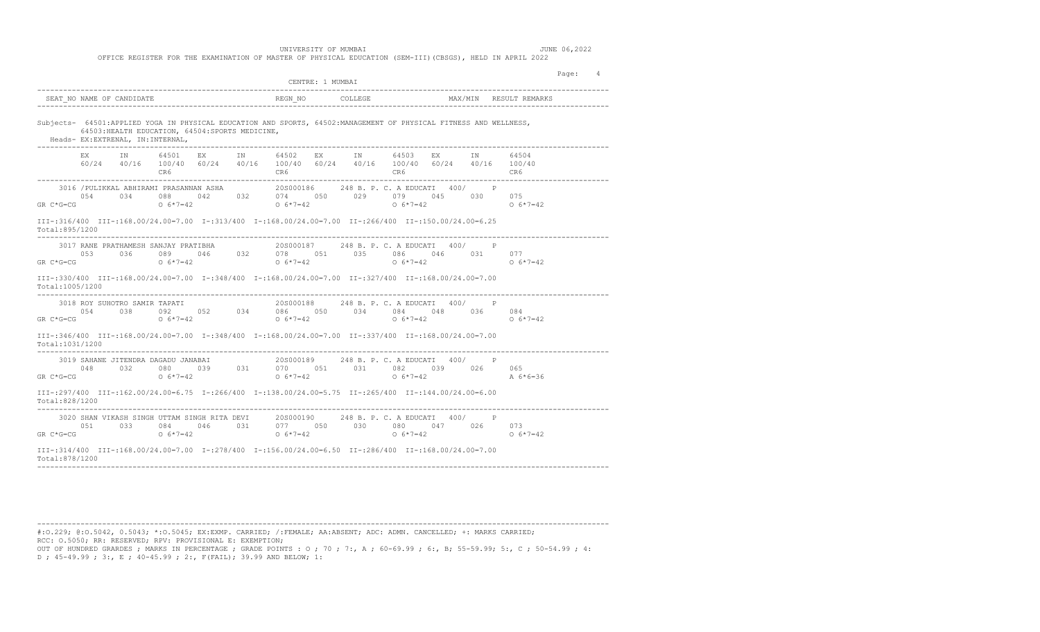|                                                                                                                                                                                                                                                                                                                                       | CENTRE: 1 MUMBAI                        |                                         | Page:<br>4 |
|---------------------------------------------------------------------------------------------------------------------------------------------------------------------------------------------------------------------------------------------------------------------------------------------------------------------------------------|-----------------------------------------|-----------------------------------------|------------|
| SEAT_NO NAME OF CANDIDATE THE SERIES REGN_NO COLLEGE THE MAX/MIN RESULT REMARKS                                                                                                                                                                                                                                                       |                                         | -------------------------------         |            |
| Subjects- 64501:APPLIED YOGA IN PHYSICAL EDUCATION AND SPORTS, 64502:MANAGEMENT OF PHYSICAL FITNESS AND WELLNESS,<br>64503: HEALTH EDUCATION, 64504: SPORTS MEDICINE,<br>Heads- EX:EXTRENAL, IN:INTERNAL,                                                                                                                             |                                         |                                         |            |
| EX IN 64501 EX IN 64502 EX IN 64503 EX IN<br>$60/24$ $40/16$ $100/40$ $60/24$ $40/16$ $100/40$ $60/24$ $40/16$ $100/40$ $60/24$ $40/16$ $100/40$                                                                                                                                                                                      |                                         | 64504                                   |            |
| $\begin{array}{cccccccccccc} 0.54 && 0.34 && 0.88 && 0.42 && 0.32 && 0.74 && 0.50 && 0.29 && 0.79 && 0.45 && 0.30 && 0.75 && 0.65 && 0.65 && 0.65 && 0.65 && 0.65 && 0.65 && 0.65 && 0.65 && 0.65 && 0.65 && 0.65 && 0.65 && 0.65 && 0.65 && 0.65 && 0.65 && 0.65 && 0.65 && 0.65 && 0.65 && 0.65 && 0.65 && 0.67 && $<br>$GR C*G=CG$ |                                         | $0.6*7=42$                              |            |
| III-:316/400 III-:168.00/24.00=7.00 I-:313/400 I-:168.00/24.00=7.00 II-:266/400 II-:150.00/24.00=6.25<br>Total:895/1200                                                                                                                                                                                                               |                                         |                                         |            |
| $\begin{array}{cccccccc} 3017 \text{ RANE PRATHAMESH SANJAY PRATHAH} & 20 \text{S000187} & 248 \text{ B. P. C. A EDUCATT} & 400/ & P \\ 053 & 036 & 089 & 046 & 032 & 078 & 051 & 035 & 086 & 046 & 031 & 077 \\ \text{GR C*G=CG} & 0 & 6*7=42 & 0 & 6*7=42 & 0 & 6*7=42 & 0 & 6*7=42 \end{array}$                                    |                                         |                                         |            |
| III-:330/400 III-:168.00/24.00=7.00 I-:348/400 I-:168.00/24.00=7.00 II-:327/400 II-:168.00/24.00=7.00<br>Total:1005/1200                                                                                                                                                                                                              |                                         |                                         |            |
| --------------------------<br>3018 ROY SUHOTRO SAMIR TAPATI<br>054 038 092 052 034 086 050 034 084 048 036 084<br>GR $C*G=CG$ 0 $6*7=42$ 0 $6*7=42$                                                                                                                                                                                   | 20S000188 248 B. P. C. A EDUCATI 400/ P | $0 \t 6 \t \times 7 = 42$<br>$0.6*7=42$ |            |
| 00.7=00.81/00 111=:346/400 111=:346/400 1-:348/400 1-:168.00/24.00=7.00 11-:337/400 111=:168.00/24.00=7.00<br>Total:1031/1200                                                                                                                                                                                                         |                                         |                                         |            |
| 3019 SAHANE JITENDRA DAGADU JANABAI                                                                                                                                                                                                                                                                                                   | 20S000189 248 B. P. C. A EDUCATI 400/ P |                                         |            |
| III-:297/400 III-:162.00/24.00=6.75 I-:266/400 I-:138.00/24.00=5.75 II-:265/400 II-:144.00/24.00=6.00<br>Total:828/1200                                                                                                                                                                                                               |                                         |                                         |            |
| $\begin{array}{cccccccc} 3020 \text{ SHAN VIKASH SINGH UTTAM SINGH RITA DEVI} & 208000190 & 248 B. P. C. A EDUCATT & 400/ & P \\ 051 & 033 & 084 & 046 & 031 & 077 & 050 & 030 & 080 & 047 & 026 & 073 \end{array}$<br>$GR C*G=CG$<br>$0.6*7=42$                                                                                      | $0 \t 6*7=42$ 0 $6*7=42$                | $0.6*7=42$                              |            |
| III-:314/400 III-:168.00/24.00=7.00 I-:278/400 I-:156.00/24.00=6.50 II-:286/400 II-:168.00/24.00=7.00<br>Total:878/1200                                                                                                                                                                                                               |                                         |                                         |            |

#:O.229; @:O.5042, 0.5043; \*:O.5045; EX:EXMP. CARRIED; /:FEMALE; AA:ABSENT; ADC: ADMN. CANCELLED; +: MARKS CARRIED; RCC: O.5050; RR: RESERVED; RPV: PROVISIONAL E: EXEMPTION; OUT OF HUNDRED GRARDES ; MARKS IN PERCENTAGE ; GRADE POINTS : O ; 70 ; 7:, A ; 60-69.99 ; 6:, B; 55-59.99; 5:, C ; 50-54.99 ; 4:

------------------------------------------------------------------------------------------------------------------------------------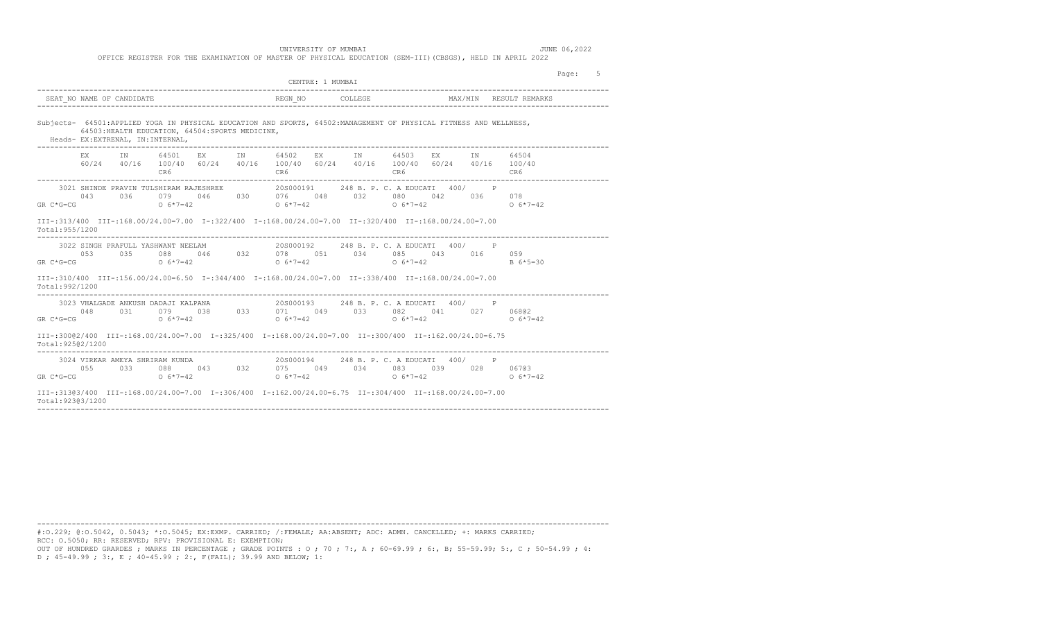OFFICE REGISTER FOR THE EXAMINATION OF MASTER OF PHYSICAL EDUCATION (SEM-III)(CBSGS), HELD IN APRIL 2022

|                                                                                                                                                                                                                                                                                                                                                                                                                                                                                                                                                             |                          | CENTRE: 1 MUMBAI |                        | Page: 5 |
|-------------------------------------------------------------------------------------------------------------------------------------------------------------------------------------------------------------------------------------------------------------------------------------------------------------------------------------------------------------------------------------------------------------------------------------------------------------------------------------------------------------------------------------------------------------|--------------------------|------------------|------------------------|---------|
| SEAT NO NAME OF CANDIDATE                                                                                                                                                                                                                                                                                                                                                                                                                                                                                                                                   |                          | COLLEGE          | MAX/MIN RESULT REMARKS |         |
| Subjects- 64501:APPLIED YOGA IN PHYSICAL EDUCATION AND SPORTS, 64502:MANAGEMENT OF PHYSICAL FITNESS AND WELLNESS,<br>64503: HEALTH EDUCATION, 64504: SPORTS MEDICINE,<br>Heads- EX:EXTRENAL, IN:INTERNAL,                                                                                                                                                                                                                                                                                                                                                   |                          |                  |                        |         |
| EX IN 64501 EX IN 64502 EX IN 64503 EX IN 64504<br>$60/24$ $40/16$ $100/40$ $60/24$ $40/16$ $100/40$ $60/24$ $40/16$ $100/40$ $60/24$ $40/16$ $100/40$                                                                                                                                                                                                                                                                                                                                                                                                      |                          |                  |                        |         |
| 3021 SHINDE PRAVIN TULSHIRAM RAJESHREE 4000000191 248 B. P. C. A EDUCATI 400/<br>043 036 079 046 030 076 048 032 080 042 036 078<br>GR C*G=CG $0.6*7=42$ $0.6*7=42$ $0.6*7=42$ $0.6*7=42$ $0.6*7=42$ $0.6*7=42$<br>III-:313/400 III-:168.00/24.00=7.00 I-:322/400 I-:168.00/24.00=7.00 II-:320/400 II-:168.00/24.00=7.00<br>Total: 955/1200                                                                                                                                                                                                                 |                          |                  |                        |         |
| $\begin{array}{cccccccc} 3022 & \text{SINGH} & \text{PRACTUL} & \text{YASHWANT} & \text{NEELAM} & & & & 20 \text{S000192} & & 248 \text{ B. P. C.} & \text{A EDUCATT} & 400 / & & \text{P} & & \\ & & 053 & 035 & 088 & 046 & 032 & 078 & 051 & 034 & 085 & 043 & 016 & 059 & \\ \text{G=CG} & & 0 & 6*7=42 & & 0 & 6*7=42 & & & \text{B} & 6*5=30 & \end{array$<br>3022 SINGH PRAFULL YASHWANT NEELAM<br>GR $C*G=CG$ 0 $6*7=42$<br>III-:310/400 III-:156.00/24.00=6.50 I-:344/400 I-:168.00/24.00=7.00 II-:338/400 II-:168.00/24.00=7.00<br>Total:992/1200 | ------------------------ | $0 6*7=42$       |                        |         |
| 3023 VHALGADE ANKUSH DADAJI KALPANA $20S000193$ 248 B. P. C. A EDUCATI 400/ P<br>048 031 079 038 033 071 049 033 082 041 027 068@2<br>GR C*G=CG $6*7=42$ O $6*7=42$ O $6*7=42$ O $6*7=42$ O $6*7=42$ O $6*7=42$<br>III-:30002/400 III-:168.00/24.00=7.00 I-:325/400 I-:168.00/24.00=7.00 II-:300/400 II-:162.00/24.00=6.75                                                                                                                                                                                                                                  |                          |                  |                        |         |
| Total: 92502/1200<br>$\begin{array}{cccccccccccc} & & & & & & & & 3024 & \text{VIRKAR AMEYA SHRIRAM KUNDA} & & & & & & & 205000194 & & & 248 \text{ B. P. C. A EDUCATT} & 400/ & & \text{P} & & & & & & \\ & & & & & & & & & & 033 & & 088 & & 043 & & 032 & & 075 & & 049 & & 034 & & 083 & & 039 & & 028 & & 067@3 \\ \text{GR C*G=CG} & & & & & & & & & & 0 & 6*7=42 & & & 0 & 6*7=42 & &$                                                                                                                                                               |                          |                  | $0.6*7=42$ 0.6*7=42    |         |
| 00 0.024.00 15.00/100 101-1168.00/24.00=7.00 1-:306/400 1-:162.00/24.00=6.75 11-:304/400 11-:168.00/24.00=7.00<br>Total: 92303/1200                                                                                                                                                                                                                                                                                                                                                                                                                         |                          |                  |                        |         |

------------------------------------------------------------------------------------------------------------------------------------ #:O.229; @:O.5042, 0.5043; \*:O.5045; EX:EXMP. CARRIED; /:FEMALE; AA:ABSENT; ADC: ADMN. CANCELLED; +: MARKS CARRIED;

RCC: O.5050; RR: RESERVED; RPV: PROVISIONAL E: EXEMPTION;

OUT OF HUNDRED GRARDES ; MARKS IN PERCENTAGE ; GRADE POINTS : O ; 70 ; 7:, A ; 60-69.99 ; 6:, B; 55-59.99; 5:, C ; 50-54.99 ; 4: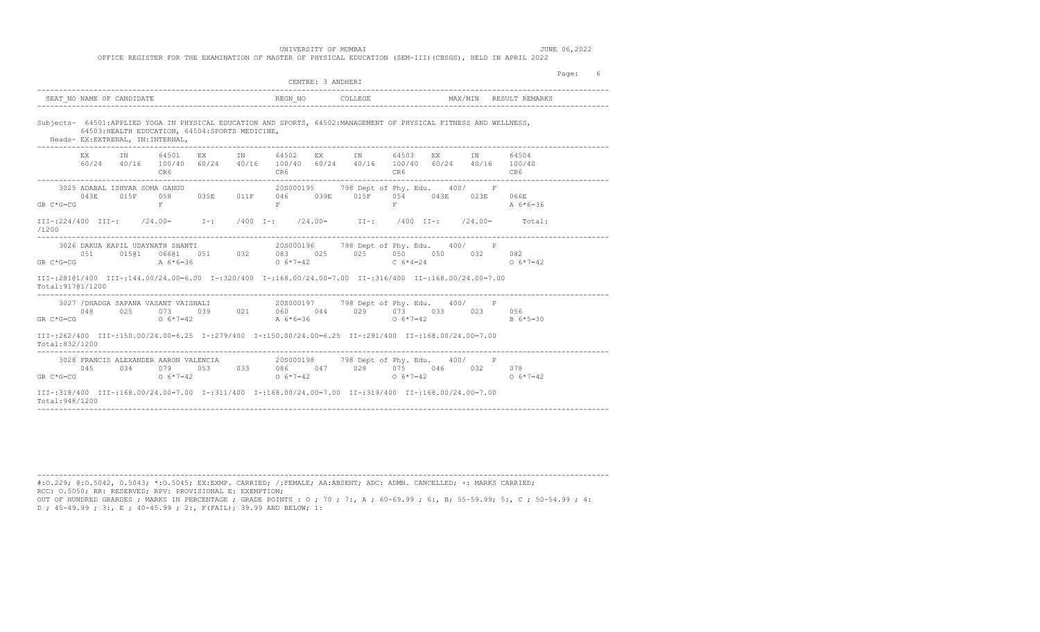OFFICE REGISTER FOR THE EXAMINATION OF MASTER OF PHYSICAL EDUCATION (SEM-III)(CBSGS), HELD IN APRIL 2022

|                   |                                  |                  | --------------------------                       |                                                |                                | CENTRE: 3 ANDHERI                                                                                                                                                                                            |       |  |                                                                               | Page: 6 |  |
|-------------------|----------------------------------|------------------|--------------------------------------------------|------------------------------------------------|--------------------------------|--------------------------------------------------------------------------------------------------------------------------------------------------------------------------------------------------------------|-------|--|-------------------------------------------------------------------------------|---------|--|
|                   | SEAT NO NAME OF CANDIDATE        |                  |                                                  |                                                |                                |                                                                                                                                                                                                              |       |  | MAX/MIN RESULT REMARKS                                                        |         |  |
|                   | Heads- EX:EXTRENAL, IN:INTERNAL, |                  | 64503: HEALTH EDUCATION, 64504: SPORTS MEDICINE, |                                                |                                | Subjects- 64501:APPLIED YOGA IN PHYSICAL EDUCATION AND SPORTS, 64502:MANAGEMENT OF PHYSICAL FITNESS AND WELLNESS,                                                                                            |       |  |                                                                               |         |  |
|                   |                                  | CR6 <sup>1</sup> |                                                  |                                                | EX IN 64501 EX IN 64502<br>CR6 | EX IN 64503 EX IN 64504<br>60/24 40/16 100/40 60/24 40/16 100/40 60/24 40/16 100/40 60/24 40/16 100/40                                                                                                       | CR6   |  | CR6                                                                           |         |  |
|                   | GR $C*G=CG$ $F$                  |                  |                                                  | $\mathbf{F}$ and $\mathbf{F}$ and $\mathbf{F}$ |                                | 3025 ADABAL ISHVAR SOMA GANGU (20000195 798 Dept of Phy. Edu. 400/ F<br>043E 015F 058 035E 011F 046 039E 015F 054 043E 023E 066E                                                                             | $F =$ |  | $A \ 6*6=36$                                                                  |         |  |
| /1200             |                                  |                  |                                                  |                                                |                                |                                                                                                                                                                                                              |       |  | III-:224/400 III-: /24.00= I-: /400 I-: /24.00= II-: /400 II-: /24.00= Total: |         |  |
| Total: 91701/1200 |                                  |                  |                                                  |                                                |                                | III-:28101/400 III-:144.00/24.00=6.00 I-:320/400 I-:168.00/24.00=7.00 II-:316/400 II-:168.00/24.00=7.00                                                                                                      |       |  |                                                                               |         |  |
|                   | GR $C*G=CG$ 0 $6*7=42$           |                  |                                                  |                                                | $A \ 6*6=36$                   | 3027 / DHADGA SAPANA VASANT VAISHALI 400 / 208000197 798 Dept of Phy. Edu. 400 / P<br>$0.48$ $0.25$ $0.73$ $0.39$ $0.21$ $0.60$ $0.44$ $0.29$ $0.73$ $0.33$ $0.23$ $0.23$ $0.56$<br>$0 \t6*7=42$             |       |  | B 6*5=30                                                                      |         |  |
| Total:832/1200    |                                  |                  |                                                  | ------------------                             |                                | III-:262/400 III-:150.00/24.00=6.25 I-:279/400 I-:150.00/24.00=6.25 II-:291/400 II-:168.00/24.00=7.00                                                                                                        |       |  |                                                                               |         |  |
|                   |                                  |                  |                                                  |                                                |                                | 3028 FRANCIS ALEXANDER AARON VALENCIA 205000198 798 Dept of Phy. Edu. 400/ P<br>045 034 079 053 033 086 047 028 075 046 032 078<br>GR C*G=CG $6*7=42$ O $6*7=42$ O $6*7=42$ O $6*7=42$ O $6*7=42$ O $6*7=42$ |       |  |                                                                               |         |  |
| Total: 948/1200   |                                  |                  |                                                  |                                                |                                | III-:318/400 III-:168.00/24.00=7.00 I-:311/400 I-:168.00/24.00=7.00 II-:319/400 II-:168.00/24.00=7.00                                                                                                        |       |  |                                                                               |         |  |

#:O.229; @:O.5042, 0.5043; \*:O.5045; EX:EXMP. CARRIED; /:FEMALE; AA:ABSENT; ADC: ADMN. CANCELLED; +: MARKS CARRIED; RCC: O.5050; RR: RESERVED; RPV: PROVISIONAL E: EXEMPTION; OUT OF HUNDRED GRARDES ; MARKS IN PERCENTAGE ; GRADE POINTS : O ; 70 ; 7:, A ; 60-69.99 ; 6:, B; 55-59.99; 5:, C ; 50-54.99 ; 4: D ; 45-49.99 ; 3:, E ; 40-45.99 ; 2:, F(FAIL); 39.99 AND BELOW; 1:

------------------------------------------------------------------------------------------------------------------------------------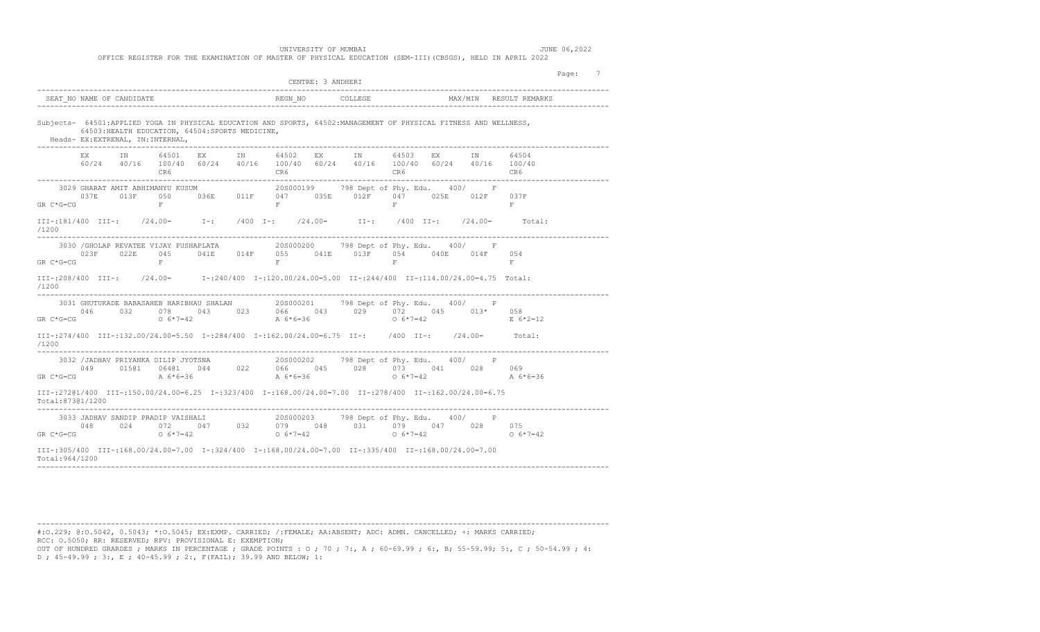| -----------------------------------                                                                                                                                                                                                                                                                                                                   | CENTRE: 3 ANDHERI                                                                                                                                | Page: 7                |
|-------------------------------------------------------------------------------------------------------------------------------------------------------------------------------------------------------------------------------------------------------------------------------------------------------------------------------------------------------|--------------------------------------------------------------------------------------------------------------------------------------------------|------------------------|
|                                                                                                                                                                                                                                                                                                                                                       |                                                                                                                                                  | MAX/MIN RESULT REMARKS |
| Subjects- 64501:APPLIED YOGA IN PHYSICAL EDUCATION AND SPORTS, 64502:MANAGEMENT OF PHYSICAL FITNESS AND WELLNESS,<br>64503: HEALTH EDUCATION, 64504: SPORTS MEDICINE,<br>Heads- EX: EXTRENAL, IN: INTERNAL,                                                                                                                                           |                                                                                                                                                  |                        |
| CR6                                                                                                                                                                                                                                                                                                                                                   | EX IN 64501 EX IN 64502 EX IN 64503 EX IN<br>$60/24$ $40/16$ $100/40$ $60/24$ $40/16$ $100/40$ $60/24$ $40/16$ $100/40$ $60/24$ $40/16$ $100/40$ | 64504                  |
| 3029 GHARAT AMIT ABHIMANYU KUSUM (205000199 798 Dept of Phy. Edu. 400/ F<br>$GR C*G=CG$<br>$- F$                                                                                                                                                                                                                                                      | 037E 013F 050 036E 011F 047 035E 012F 047 025E 012F 037F<br>$\mathbf{F}$ and $\mathbf{F}$<br>$F =$                                               | $\mathbb{F}$           |
| III-:181/400 III-: /24.00= I-: /400 I-: /24.00= II-: /400 II-: /24.00= Total:<br>/1200                                                                                                                                                                                                                                                                |                                                                                                                                                  |                        |
| 3030 / GHOLAP REVATEE VIJAY PUSHAPLATA 20S000200 798 Dept of Phy. Edu. 400/ F<br>023F 022E 045 041E 014F 055 041E 013F 054 040E 014F 054<br>GR C*G=CG<br>$F$ .                                                                                                                                                                                        | $\mathbf{F}$ and $\mathbf{F}$<br>$F$ .                                                                                                           | F                      |
| III-:208/400 III-: /24.00= I-:240/400 I-:120.00/24.00=5.00 II-:244/400 II-:114.00/24.00=4.75 Total:<br>/1200                                                                                                                                                                                                                                          |                                                                                                                                                  |                        |
| $GR C*G=CG$                                                                                                                                                                                                                                                                                                                                           |                                                                                                                                                  | E 6*2=12               |
| III-:274/400 III-:132.00/24.00=5.50 I-:284/400 I-:162.00/24.00=6.75 II-: /400 II-: /24.00= Total:<br>/1200                                                                                                                                                                                                                                            |                                                                                                                                                  |                        |
| 92 /JADHAV PRIYANKA DILIP JYOTSNA 20S000202 798 Dept of Phy. Edu. 400/ P<br>049 015@1 064@1 044 022 066 045 028 073 041 028 069<br>CG A 6*6=36 A 6*6=36 A 6*6=36 0 6*7=42 A 6*<br>3032 /JADHAV PRIYANKA DILIP JYOTSNA<br>GR C*G=CG                                                                                                                    |                                                                                                                                                  | A 6*6=36               |
| III-:272@1/400 III-:150.00/24.00=6.25 I-:323/400 I-:168.00/24.00=7.00 II-:278/400 II-:162.00/24.00=6.75<br>Total:873@1/1200                                                                                                                                                                                                                           |                                                                                                                                                  |                        |
| $\begin{array}{cccccccc} 3033 & \text{JADHAV SANDIP PRADIP VAISHALL} & & & 20 \text{S0000203} & & 798 & \text{Dept of Phy. Edu.} & 400 / & & \text{P} \\ 048 & & 024 & & 072 & & 047 & & 032 & & 079 & & 048 & & 031 & & 079 & & 047 & & 028 & & 075 \\ \text{GR C*G=CG} & & & 0 & 6*7=42 & & & 0 & 6*7=42 & & & 0 & 6*7=42 & & & 0 & 6*7=48 & & 0 &$ |                                                                                                                                                  | $0.6*7=42$             |
| 00.7=00.41.00=1.00.83/400 III=:168.00/24.00=7.00 I=:324/400 I=:168.00/24.00=7.00 II=:335/400 II=:168.00/24.00=7<br>Total: 964/1200                                                                                                                                                                                                                    |                                                                                                                                                  |                        |

#:O.229; @:O.5042, 0.5043; \*:O.5045; EX:EXMP. CARRIED; /:FEMALE; AA:ABSENT; ADC: ADMN. CANCELLED; +: MARKS CARRIED; RCC: O.5050; RR: RESERVED; RPV: PROVISIONAL E: EXEMPTION; OUT OF HUNDRED GRARDES ; MARKS IN PERCENTAGE ; GRADE POINTS : O ; 70 ; 7:, A ; 60-69.99 ; 6:, B; 55-59.99; 5:, C ; 50-54.99 ; 4:

------------------------------------------------------------------------------------------------------------------------------------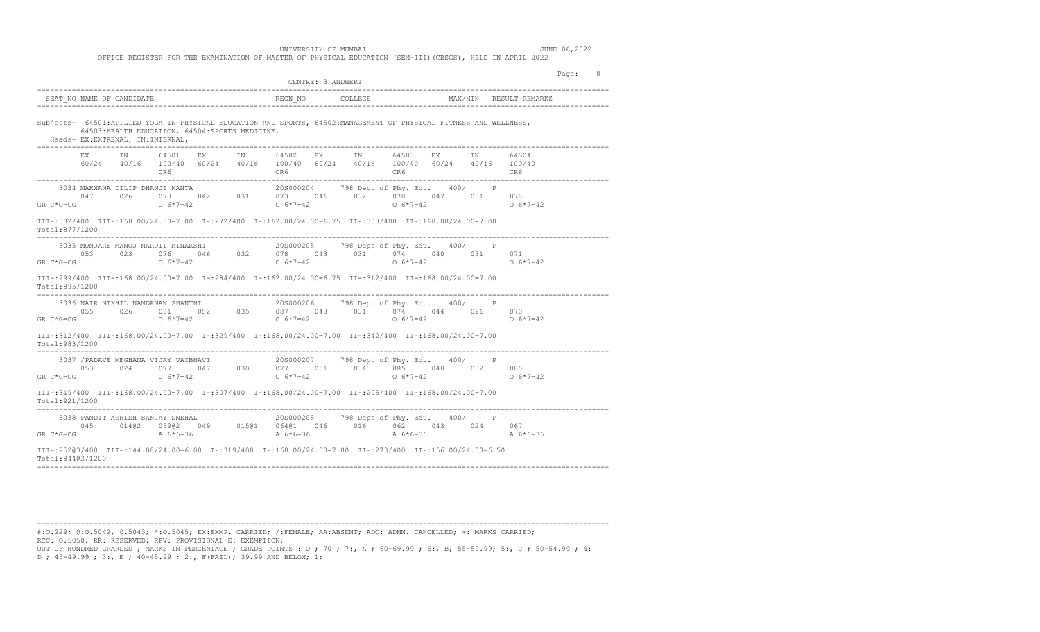|                                  | Page: 8<br>CENTRE: 3 ANDHERI<br>---------------------------------<br>MAX/MIN RESULT REMARKS<br>Subjects- 64501:APPLIED YOGA IN PHYSICAL EDUCATION AND SPORTS, 64502:MANAGEMENT OF PHYSICAL FITNESS AND WELLNESS,<br>64503: HEALTH EDUCATION, 64504: SPORTS MEDICINE,<br>EX IN 64501 EX IN 64502 EX IN 64503 EX IN<br>64504<br>$60/24 \qquad 40/16 \qquad 100/40 \qquad 60/24 \qquad 40/16 \qquad 100/40 \qquad 60/24 \qquad 40/16 \qquad 100/40 \qquad 60/24 \qquad 40/16 \qquad 100/40$<br>3034 MAKWANA DILIP DHANJI KANTA 20S000204 798 Dept of Phy. Edu. 400/ P<br>047 026 073 042 031 073 046 032 078 047 031 078<br>047 026 073 042 031 073 046 032 078 047 031 078<br>$0.6*7=42$<br>$\begin{array}{cccccccc} \text{3035 MUNJARE MANOJ MARUTI MINAKSHI} & \text{3035 MUNJARE MANOJ MARUTI MINAKSHI} & \text{3036 MONJARE MANOJ MARUTI MINAKSHI} & \text{3037} & \text{3038} & \text{3039} & \text{3039} & \text{3039} & \text{3039} & \text{3039} & \text{3039} & \text{3039} & \text{3039} & \text{3039} & \text{3039} & \text{3039} & \text{3039} & \text{3039} & \text$<br>$0.6*7=42$<br>III-:299/400 III-:168.00/24.00=7.00 I-:284/400 I-:162.00/24.00=6.75 II-:312/400 II-:168.00/24.00=7.00<br>$\begin{array}{cccccccc} 3036 \text{ NAIR NIRHIL NANDANAN SHANTHI} & 208000206 & 798 \text{ Dept of Phy. Edu.} & 400/ & \text{P} \\ 055 & 026 & 081 & 052 & 035 & 087 & 043 & 031 & 074 & 044 & 026 & 070 \\ 0 & 6*7=42 & 0 & 6*7=42 & 0 & 6*7=42 & 0 & 6*7=42 \end{array}$<br>$0.6*7=42$<br>00.7=00.41.00=1.00.8312/400 III=:168.00/24.00=7.00 I=:329/400 I=:329/400 II=:342/400 II=:168.00/24.00=7.00<br>-----------------------------------<br>3037 /PADAVE MEGHANA VIJAY VAIBHAVI<br>053 024 077 047 030 077 051 034 085 048 032 080<br>06*7=42 06*7=42 06*7=42 06*7=42<br>$0.6*7=42$<br>00.7=00.41.00=1.00.8319/400 III=:168.00/24.00=7.00 I=:307/400 I=:307/400 II=:205/400 II=:168.00/24.00=7.00<br>$\begin{array}{cccccccc} \text{3038 PANDIT ASHISH SANJAY SNEHAL} & & & \text{20S000208} & & \text{798 Dept of Phy. Edu.} & 400/ & & \text{P} & \\ \text{045} & 014@2 & 059@2 & 049 & 015@1 & 064@1 & 046 & 016 & 062 & 043 & 024 & 067 & \\ \text{GR C*G=CG} & & & & \text{A} & 6*6=36 & & & \text{A} & 6*6=36 & & \\ \end{array}$<br>III-:25203/400 III-:144.00/24.00=6.00 I-:319/400 I-:168.00/24.00=7.00 II-:273/400 II-:156.00/24.00=6.50 |  |
|----------------------------------|--------------------------------------------------------------------------------------------------------------------------------------------------------------------------------------------------------------------------------------------------------------------------------------------------------------------------------------------------------------------------------------------------------------------------------------------------------------------------------------------------------------------------------------------------------------------------------------------------------------------------------------------------------------------------------------------------------------------------------------------------------------------------------------------------------------------------------------------------------------------------------------------------------------------------------------------------------------------------------------------------------------------------------------------------------------------------------------------------------------------------------------------------------------------------------------------------------------------------------------------------------------------------------------------------------------------------------------------------------------------------------------------------------------------------------------------------------------------------------------------------------------------------------------------------------------------------------------------------------------------------------------------------------------------------------------------------------------------------------------------------------------------------------------------------------------------------------------------------------------------------------------------------------------------------------------------------------------------------------------------------------------------------------------------------------------------------------------------------------------------------------------------------------------------------------------------------------------------------------------------------------------------------------------------------------------------------------------------------------------------|--|
|                                  |                                                                                                                                                                                                                                                                                                                                                                                                                                                                                                                                                                                                                                                                                                                                                                                                                                                                                                                                                                                                                                                                                                                                                                                                                                                                                                                                                                                                                                                                                                                                                                                                                                                                                                                                                                                                                                                                                                                                                                                                                                                                                                                                                                                                                                                                                                                                                                    |  |
| Heads- EX:EXTRENAL, IN:INTERNAL, |                                                                                                                                                                                                                                                                                                                                                                                                                                                                                                                                                                                                                                                                                                                                                                                                                                                                                                                                                                                                                                                                                                                                                                                                                                                                                                                                                                                                                                                                                                                                                                                                                                                                                                                                                                                                                                                                                                                                                                                                                                                                                                                                                                                                                                                                                                                                                                    |  |
|                                  |                                                                                                                                                                                                                                                                                                                                                                                                                                                                                                                                                                                                                                                                                                                                                                                                                                                                                                                                                                                                                                                                                                                                                                                                                                                                                                                                                                                                                                                                                                                                                                                                                                                                                                                                                                                                                                                                                                                                                                                                                                                                                                                                                                                                                                                                                                                                                                    |  |
| $GR C*G=CG$                      |                                                                                                                                                                                                                                                                                                                                                                                                                                                                                                                                                                                                                                                                                                                                                                                                                                                                                                                                                                                                                                                                                                                                                                                                                                                                                                                                                                                                                                                                                                                                                                                                                                                                                                                                                                                                                                                                                                                                                                                                                                                                                                                                                                                                                                                                                                                                                                    |  |
| Total:877/1200                   |                                                                                                                                                                                                                                                                                                                                                                                                                                                                                                                                                                                                                                                                                                                                                                                                                                                                                                                                                                                                                                                                                                                                                                                                                                                                                                                                                                                                                                                                                                                                                                                                                                                                                                                                                                                                                                                                                                                                                                                                                                                                                                                                                                                                                                                                                                                                                                    |  |
|                                  |                                                                                                                                                                                                                                                                                                                                                                                                                                                                                                                                                                                                                                                                                                                                                                                                                                                                                                                                                                                                                                                                                                                                                                                                                                                                                                                                                                                                                                                                                                                                                                                                                                                                                                                                                                                                                                                                                                                                                                                                                                                                                                                                                                                                                                                                                                                                                                    |  |
| Total:895/1200                   |                                                                                                                                                                                                                                                                                                                                                                                                                                                                                                                                                                                                                                                                                                                                                                                                                                                                                                                                                                                                                                                                                                                                                                                                                                                                                                                                                                                                                                                                                                                                                                                                                                                                                                                                                                                                                                                                                                                                                                                                                                                                                                                                                                                                                                                                                                                                                                    |  |
| $GR C*G=CG$                      |                                                                                                                                                                                                                                                                                                                                                                                                                                                                                                                                                                                                                                                                                                                                                                                                                                                                                                                                                                                                                                                                                                                                                                                                                                                                                                                                                                                                                                                                                                                                                                                                                                                                                                                                                                                                                                                                                                                                                                                                                                                                                                                                                                                                                                                                                                                                                                    |  |
| Total: 983/1200                  |                                                                                                                                                                                                                                                                                                                                                                                                                                                                                                                                                                                                                                                                                                                                                                                                                                                                                                                                                                                                                                                                                                                                                                                                                                                                                                                                                                                                                                                                                                                                                                                                                                                                                                                                                                                                                                                                                                                                                                                                                                                                                                                                                                                                                                                                                                                                                                    |  |
| $GR$ $C*G=CG$                    |                                                                                                                                                                                                                                                                                                                                                                                                                                                                                                                                                                                                                                                                                                                                                                                                                                                                                                                                                                                                                                                                                                                                                                                                                                                                                                                                                                                                                                                                                                                                                                                                                                                                                                                                                                                                                                                                                                                                                                                                                                                                                                                                                                                                                                                                                                                                                                    |  |
| Total: 921/1200                  |                                                                                                                                                                                                                                                                                                                                                                                                                                                                                                                                                                                                                                                                                                                                                                                                                                                                                                                                                                                                                                                                                                                                                                                                                                                                                                                                                                                                                                                                                                                                                                                                                                                                                                                                                                                                                                                                                                                                                                                                                                                                                                                                                                                                                                                                                                                                                                    |  |
|                                  |                                                                                                                                                                                                                                                                                                                                                                                                                                                                                                                                                                                                                                                                                                                                                                                                                                                                                                                                                                                                                                                                                                                                                                                                                                                                                                                                                                                                                                                                                                                                                                                                                                                                                                                                                                                                                                                                                                                                                                                                                                                                                                                                                                                                                                                                                                                                                                    |  |
|                                  |                                                                                                                                                                                                                                                                                                                                                                                                                                                                                                                                                                                                                                                                                                                                                                                                                                                                                                                                                                                                                                                                                                                                                                                                                                                                                                                                                                                                                                                                                                                                                                                                                                                                                                                                                                                                                                                                                                                                                                                                                                                                                                                                                                                                                                                                                                                                                                    |  |

#:O.229; @:O.5042, 0.5043; \*:O.5045; EX:EXMP. CARRIED; /:FEMALE; AA:ABSENT; ADC: ADMN. CANCELLED; +: MARKS CARRIED; RCC: O.5050; RR: RESERVED; RPV: PROVISIONAL E: EXEMPTION; OUT OF HUNDRED GRARDES ; MARKS IN PERCENTAGE ; GRADE POINTS : O ; 70 ; 7:, A ; 60-69.99 ; 6:, B; 55-59.99; 5:, C ; 50-54.99 ; 4:

------------------------------------------------------------------------------------------------------------------------------------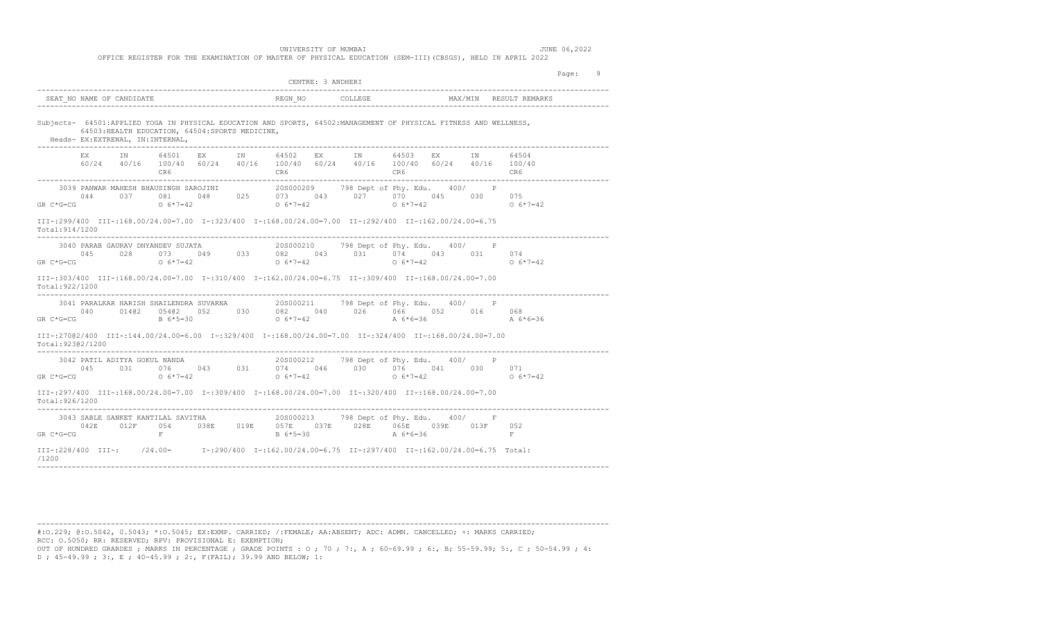|                                         |                                                                                      |            |  |            | CENTRE: 3 ANDHERI |                                                                                                                                                                                                                                                                                                               |            |              |                                                                                                                                                                                                                                                                                                                               | Page: | -9 |
|-----------------------------------------|--------------------------------------------------------------------------------------|------------|--|------------|-------------------|---------------------------------------------------------------------------------------------------------------------------------------------------------------------------------------------------------------------------------------------------------------------------------------------------------------|------------|--------------|-------------------------------------------------------------------------------------------------------------------------------------------------------------------------------------------------------------------------------------------------------------------------------------------------------------------------------|-------|----|
|                                         | SEAT NO NAME OF CANDIDATE                                                            |            |  |            |                   |                                                                                                                                                                                                                                                                                                               |            |              |                                                                                                                                                                                                                                                                                                                               |       |    |
|                                         | 64503: HEALTH EDUCATION, 64504: SPORTS MEDICINE,<br>Heads- EX:EXTRENAL, IN:INTERNAL, |            |  |            |                   | Subjects- 64501:APPLIED YOGA IN PHYSICAL EDUCATION AND SPORTS, 64502:MANAGEMENT OF PHYSICAL FITNESS AND WELLNESS,                                                                                                                                                                                             |            |              |                                                                                                                                                                                                                                                                                                                               |       |    |
|                                         | EX IN 64501 EX IN 64502                                                              |            |  |            |                   | EX IN 64503 EX IN<br>60/24 40/16 100/40 60/24 40/16 100/40 60/24 40/16 100/40 60/24 40/16 100/40                                                                                                                                                                                                              |            |              | 64504                                                                                                                                                                                                                                                                                                                         |       |    |
|                                         |                                                                                      |            |  |            |                   | $\begin{array}{cccccccccccc} 3039 & \texttt{PANNAR MAHESH BHAUSINGH SAROJINI} & & & 205000209 & & 798 \text{ Dept of Phy. Edu.} & 400/ & & \texttt{P} \\ 044 & 037 & 081 & 048 & 025 & 073 & 043 & 027 & 070 & 045 & 030 & 075 \end{array}$<br>GR C * G=CG $6*7=42$ $0 \t 6*7=42$ $0 \t 6*7=42$ $0 \t 6*7=42$ |            |              | $0.6*7=42$                                                                                                                                                                                                                                                                                                                    |       |    |
| Total: 914/1200                         |                                                                                      |            |  |            |                   | III-:299/400 III-:168.00/24.00=7.00 I-:323/400 I-:168.00/24.00=7.00 II-:292/400 II-:162.00/24.00=6.75                                                                                                                                                                                                         |            |              |                                                                                                                                                                                                                                                                                                                               |       |    |
| ________________________<br>$GR C*G=CG$ | 3040 PARAB GAURAV DNYANDEV SUJATA                                                    |            |  |            |                   | 3040 PARAB GAURAV DNYANDEV SUJATA (20000210 798 Dept of Phy. Edu. 400/ P<br>045 028 073 049 033 082 043 031 074 043 031 074<br>G=CG 06*7=42 06*7=42 06*7=42                                                                                                                                                   |            |              | $0.6*7=42$                                                                                                                                                                                                                                                                                                                    |       |    |
| Total: 922/1200                         |                                                                                      |            |  |            |                   | 00.7=00.41.00 111.168 00/24 00=7.00 10:310/400 10:162 00/24 00=6.75 110:309/400 110:168 00/24 00=7.00                                                                                                                                                                                                         |            |              |                                                                                                                                                                                                                                                                                                                               |       |    |
|                                         |                                                                                      |            |  |            |                   |                                                                                                                                                                                                                                                                                                               |            |              | $\begin{array}{cccccccc} 3041 & \texttt{PARALKAR HARISH SHAILENDRA SUVARNA} & 205000211 & 798 \text{ Dept of Phy. Edu.} & 400/ & P \\ 040 & 014@2 & 054@2 & 052 & 030 & 082 & 040 & 026 & 066 & 052 & 016 & 068 \\ \texttt{GR C*G=CG} & & & & B\ 6*5=30 & & & O\ 6*7=42 & & & A\ 6*6=36 & & & A\ 6*6=36 & & & & A\end{array}$ |       |    |
| Total:92302/1200                        |                                                                                      |            |  |            |                   | TII-:27002/400 III-:144.00/24.00=6.00 I-:329/400 I-:168.00/24.00=7.00 II-:324/400 II-:168.00/24.00=7.00                                                                                                                                                                                                       |            |              |                                                                                                                                                                                                                                                                                                                               |       |    |
| $GR C*G=CG$                             | 3042 PATIL ADITYA GOKUL NANDA                                                        | $0.6*7=42$ |  | $0.6*7=42$ |                   | 20S000212 798 Dept of Phy. Edu. 400/<br>$0.045$ $0.031$ $0.076$ $0.043$ $0.031$ $0.074$ $0.046$ $0.030$ $0.076$ $0.041$ $0.030$ $0.071$                                                                                                                                                                       | $0.6*7=42$ | $\mathbb{P}$ | $0.6*7=42$                                                                                                                                                                                                                                                                                                                    |       |    |
| Total: 926/1200                         |                                                                                      |            |  |            |                   | III-:297/400 III-:168.00/24.00=7.00 I-:309/400 I-:168.00/24.00=7.00 II-:320/400 II-:168.00/24.00=7.00                                                                                                                                                                                                         |            |              |                                                                                                                                                                                                                                                                                                                               |       |    |
| $GR C*G=CG$                             | 3043 SABLE SANKET KANTILAL SAVITHA                                                   | $-$ F $-$  |  |            |                   | 20S000213 798 Dept of Phy. Edu. 400/ F<br>042E 012F 054 038E 019E 057E 037E 028E 065E 039E 013F 052<br>B $6*5=30$ A $6*6=36$                                                                                                                                                                                  |            |              | F                                                                                                                                                                                                                                                                                                                             |       |    |
| /1200                                   |                                                                                      |            |  |            |                   | III-:228/400 III-: /24.00= T-:290/400 I-:162.00/24.00=6.75 II-:297/400 II-:162.00/24.00=6.75 Total:                                                                                                                                                                                                           |            |              |                                                                                                                                                                                                                                                                                                                               |       |    |

#:O.229; @:O.5042, 0.5043; \*:O.5045; EX:EXMP. CARRIED; /:FEMALE; AA:ABSENT; ADC: ADMN. CANCELLED; +: MARKS CARRIED; RCC: O.5050; RR: RESERVED; RPV: PROVISIONAL E: EXEMPTION; OUT OF HUNDRED GRARDES ; MARKS IN PERCENTAGE ; GRADE POINTS : O ; 70 ; 7:, A ; 60-69.99 ; 6:, B; 55-59.99; 5:, C ; 50-54.99 ; 4:

------------------------------------------------------------------------------------------------------------------------------------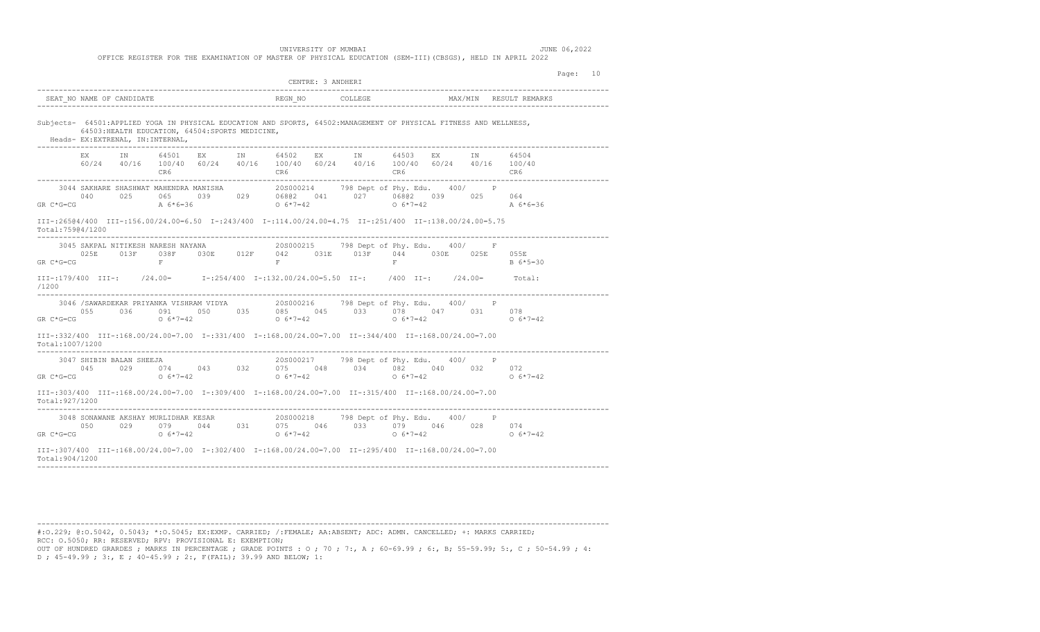|                                           |                                                                                                                                                                                                                                                                                                                              | CENTRE: 3 ANDHERI                      |                        | Page: 10 |
|-------------------------------------------|------------------------------------------------------------------------------------------------------------------------------------------------------------------------------------------------------------------------------------------------------------------------------------------------------------------------------|----------------------------------------|------------------------|----------|
|                                           |                                                                                                                                                                                                                                                                                                                              |                                        |                        |          |
| Heads- EX: EXTRENAL, IN: INTERNAL,        | Subjects- 64501:APPLIED YOGA IN PHYSICAL EDUCATION AND SPORTS, 64502:MANAGEMENT OF PHYSICAL FITNESS AND WELLNESS,<br>64503: HEALTH EDUCATION, 64504: SPORTS MEDICINE,                                                                                                                                                        |                                        |                        |          |
|                                           | EX IN 64501 EX IN 64502 EX IN 64503 EX IN 64504<br>$60/24 \qquad 40/16 \qquad 100/40 \qquad 60/24 \qquad 40/16 \qquad 100/40 \qquad 60/24 \qquad 40/16 \qquad 100/40 \qquad 60/24 \qquad 40/16 \qquad 100/40$                                                                                                                |                                        |                        |          |
| $GR$ $C*G=CG$                             | A $6*6=36$ 0 $6*7=42$                                                                                                                                                                                                                                                                                                        |                                        | $0.6*7=42$<br>A 6*6=36 |          |
| Total:75904/1200                          | TII-:26504/400 III-:156.00/24.00=6.50 I-:243/400 I-:114.00/24.00=4.75 II-:251/400 II-:138.00/24.00=5.75                                                                                                                                                                                                                      |                                        |                        |          |
| GR C*G=CG                                 | 3045 SAKPAL NITIKESH NARESH NAYANA $205000215$ 798 Dept of Phy. Edu. 400/ F<br>025E 013F 038F 030E 012F 042 031E 013F 044 030E 025E 055E<br>$\mathbf{F}$                                                                                                                                                                     | $F$ and $F$<br>$F$ .                   | B 6*5=30               |          |
| /1200                                     | III-:179/400 III-: /24.00= I-:254/400 I-:132.00/24.00=5.50 II-: /400 II-: /24.00= Total:                                                                                                                                                                                                                                     |                                        |                        |          |
| --------                                  | $\begin{array}{cccccccc} 3046 & / \text{SAWARDEKAR PRIYANKA VISHRAM VIDYA} & 20 \text{S000216} & 798 \text{ Dept of Phy. Edu.} & 400 / & P \\ 055 & 036 & 091 & 050 & 035 & 085 & 045 & 033 & 078 & 047 & 031 & 078 \\ \text{GR C * G = CG} & 0 & 6 * 7 = 42 & 0 & 6 * 7 = 42 & 0 & 6 * 7 = 42 & 0 & 6 * 7 = 42 \end{array}$ |                                        |                        |          |
| Total:1007/1200                           | 00.7=00.24.00=2.00/24.00=7.00=7.00=7.00=7.00=0.00/24.00=7.00=7.00=7.00=108.00/24.00=7.00=7.00=7.00=7                                                                                                                                                                                                                         |                                        |                        |          |
| 3047 SHIBIN BALAN SHEEJA<br>$GR$ $C*G=CG$ |                                                                                                                                                                                                                                                                                                                              | 20S000217 798 Dept of Phy. Edu. 400/ P | $0.6*7=42$             |          |
| Total:927/1200                            | 00.7=00.4100.100.100.100.100.100.100.100.24.00=7.00.24.00=7.00.24.00=7.00.00.24.00=7.00.24.00=7.00.                                                                                                                                                                                                                          |                                        |                        |          |
|                                           | 3048 SONAWANE AKSHAY MURLIDHAR KESAR $1000029$ 079 044 031 075 046 033 079 046 028 074 050 029 079 044 031 075 046 033 079 046 028 074 050 05*7=42                                                                                                                                                                           |                                        |                        |          |
| Total:904/1200                            | 00.7=00.24.00=2.00/ 115=295/400 11=205/400.00=7.00 11=295/400 11=297/400 11=208.00/24.00=7.00                                                                                                                                                                                                                                |                                        |                        |          |
|                                           |                                                                                                                                                                                                                                                                                                                              |                                        |                        |          |

#:O.229; @:O.5042, 0.5043; \*:O.5045; EX:EXMP. CARRIED; /:FEMALE; AA:ABSENT; ADC: ADMN. CANCELLED; +: MARKS CARRIED; RCC: O.5050; RR: RESERVED; RPV: PROVISIONAL E: EXEMPTION; OUT OF HUNDRED GRARDES ; MARKS IN PERCENTAGE ; GRADE POINTS : O ; 70 ; 7:, A ; 60-69.99 ; 6:, B; 55-59.99; 5:, C ; 50-54.99 ; 4:

------------------------------------------------------------------------------------------------------------------------------------